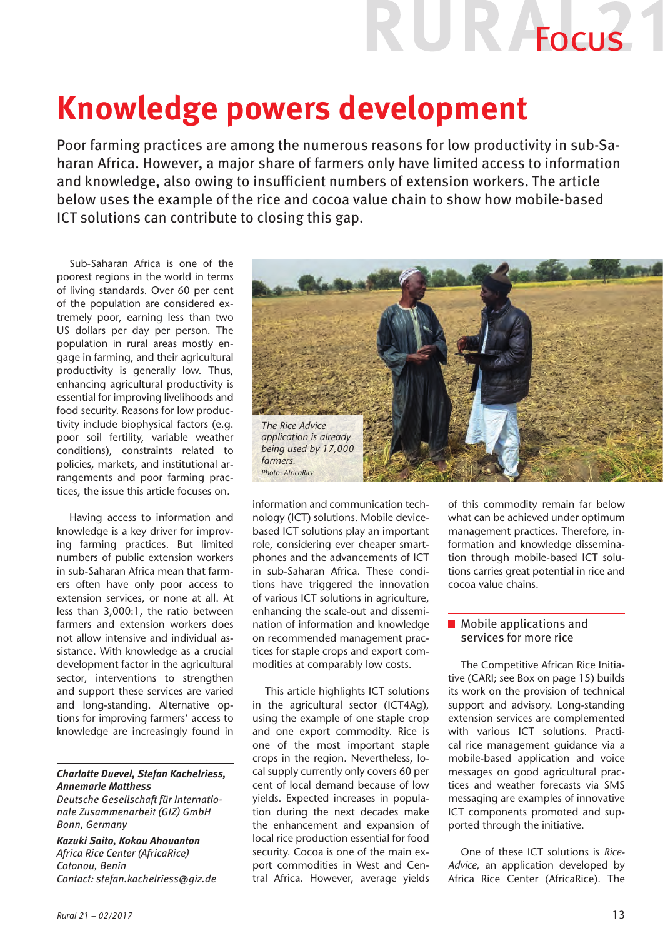# UR AFOCUS

## **Knowledge powers development**

Poor farming practices are among the numerous reasons for low productivity in sub-Saharan Africa. However, a major share of farmers only have limited access to information and knowledge, also owing to insufficient numbers of extension workers. The article below uses the example of the rice and cocoa value chain to show how mobile-based ICT solutions can contribute to closing this gap.

Sub-Saharan Africa is one of the poorest regions in the world in terms of living standards. Over 60 per cent of the population are considered extremely poor, earning less than two US dollars per day per person. The population in rural areas mostly engage in farming, and their agricultural productivity is generally low. Thus, enhancing agricultural productivity is essential for improving livelihoods and food security. Reasons for low productivity include biophysical factors (e.g. poor soil fertility, variable weather conditions), constraints related to policies, markets, and institutional arrangements and poor farming practices, the issue this article focuses on.

Having access to information and knowledge is a key driver for improving farming practices. But limited numbers of public extension workers in sub-Saharan Africa mean that farmers often have only poor access to extension services, or none at all. At less than 3,000:1, the ratio between farmers and extension workers does not allow intensive and individual assistance. With knowledge as a crucial development factor in the agricultural sector, interventions to strengthen and support these services are varied and long-standing. Alternative options for improving farmers' access to knowledge are increasingly found in

### *Charlotte Duevel, Stefan Kachelriess, Annemarie Matthess*

*Deutsche Gesellschaft für Internationale Zusammenarbeit (GIZ) GmbH Bonn, Germany*

*Kazuki Saito, Kokou Ahouanton Africa Rice Center (AfricaRice) Cotonou, Benin Contact: stefan.kachelriess@giz.de*



information and communication technology (ICT) solutions. Mobile devicebased ICT solutions play an important role, considering ever cheaper smartphones and the advancements of ICT in sub-Saharan Africa. These conditions have triggered the innovation of various ICT solutions in agriculture, enhancing the scale-out and dissemination of information and knowledge on recommended management practices for staple crops and export commodities at comparably low costs.

This article highlights ICT solutions in the agricultural sector (ICT4Ag), using the example of one staple crop and one export commodity. Rice is one of the most important staple crops in the region. Nevertheless, local supply currently only covers 60 per cent of local demand because of low yields. Expected increases in population during the next decades make the enhancement and expansion of local rice production essential for food security. Cocoa is one of the main export commodities in West and Central Africa. However, average yields of this commodity remain far below what can be achieved under optimum management practices. Therefore, information and knowledge dissemination through mobile-based ICT solutions carries great potential in rice and cocoa value chains.

### **Mobile applications and** services for more rice

The Competitive African Rice Initiative (CARI; see Box on page 15) builds its work on the provision of technical support and advisory. Long-standing extension services are complemented with various ICT solutions. Practical rice management guidance via a mobile-based application and voice messages on good agricultural practices and weather forecasts via SMS messaging are examples of innovative ICT components promoted and supported through the initiative.

One of these ICT solutions is *Rice-Advice*, an application developed by Africa Rice Center (AfricaRice). The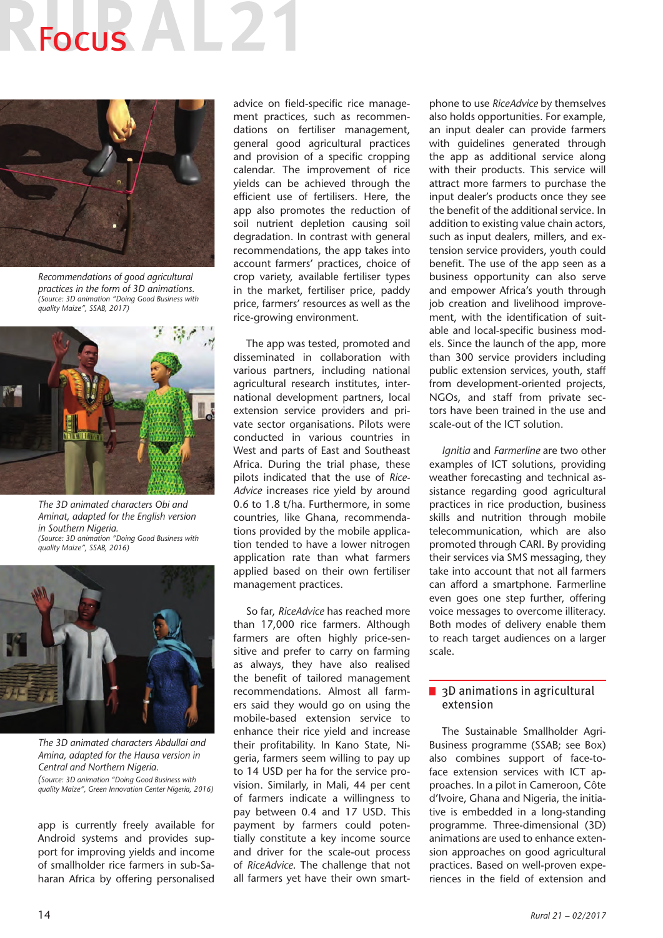# **Focus**



*Recommendations of good agricultural practices in the form of 3D animations. (Source: 3D animation "Doing Good Business with quality Maize", SSAB, 2017)*



*The 3D animated characters Obi and Aminat, adapted for the English version in Southern Nigeria. (Source: 3D animation "Doing Good Business with quality Maize", SSAB, 2016)*



*The 3D animated characters Abdullai and Amina, adapted for the Hausa version in Central and Northern Nigeria. (Source: 3D animation "Doing Good Business with quality Maize", Green Innovation Center Nigeria, 2016)*

app is currently freely available for Android systems and provides support for improving yields and income of smallholder rice farmers in sub-Saharan Africa by offering personalised

advice on field-specific rice management practices, such as recommendations on fertiliser management, general good agricultural practices and provision of a specific cropping calendar. The improvement of rice yields can be achieved through the efficient use of fertilisers. Here, the app also promotes the reduction of soil nutrient depletion causing soil degradation. In contrast with general recommendations, the app takes into account farmers' practices, choice of crop variety, available fertiliser types in the market, fertiliser price, paddy price, farmers' resources as well as the rice-growing environment.

The app was tested, promoted and disseminated in collaboration with various partners, including national agricultural research institutes, international development partners, local extension service providers and private sector organisations. Pilots were conducted in various countries in West and parts of East and Southeast Africa. During the trial phase, these pilots indicated that the use of *Rice-Advice* increases rice yield by around 0.6 to 1.8 t/ha. Furthermore, in some countries, like Ghana, recommendations provided by the mobile application tended to have a lower nitrogen application rate than what farmers applied based on their own fertiliser management practices.

So far, *RiceAdvice* has reached more than 17,000 rice farmers. Although farmers are often highly price-sensitive and prefer to carry on farming as always, they have also realised the benefit of tailored management recommendations. Almost all farmers said they would go on using the mobile-based extension service to enhance their rice yield and increase their profitability. In Kano State, Nigeria, farmers seem willing to pay up to 14 USD per ha for the service provision. Similarly, in Mali, 44 per cent of farmers indicate a willingness to pay between 0.4 and 17 USD. This payment by farmers could potentially constitute a key income source and driver for the scale-out process of *RiceAdvice*. The challenge that not all farmers yet have their own smartphone to use *RiceAdvice* by themselves also holds opportunities. For example, an input dealer can provide farmers with guidelines generated through the app as additional service along with their products. This service will attract more farmers to purchase the input dealer's products once they see the benefit of the additional service. In addition to existing value chain actors, such as input dealers, millers, and extension service providers, youth could benefit. The use of the app seen as a business opportunity can also serve and empower Africa's youth through job creation and livelihood improvement, with the identification of suitable and local-specific business models. Since the launch of the app, more than 300 service providers including public extension services, youth, staff from development-oriented projects, NGOs, and staff from private sectors have been trained in the use and scale-out of the ICT solution.

*Ignitia* and *Farmerline* are two other examples of ICT solutions, providing weather forecasting and technical assistance regarding good agricultural practices in rice production, business skills and nutrition through mobile telecommunication, which are also promoted through CARI. By providing their services via SMS messaging, they take into account that not all farmers can afford a smartphone. Farmerline even goes one step further, offering voice messages to overcome illiteracy. Both modes of delivery enable them to reach target audiences on a larger scale.

### ■ 3D animations in agricultural extension

The Sustainable Smallholder Agri-Business programme (SSAB; see Box) also combines support of face-toface extension services with ICT approaches. In a pilot in Cameroon, Côte d'Ivoire, Ghana and Nigeria, the initiative is embedded in a long-standing programme. Three-dimensional (3D) animations are used to enhance extension approaches on good agricultural practices. Based on well-proven experiences in the field of extension and